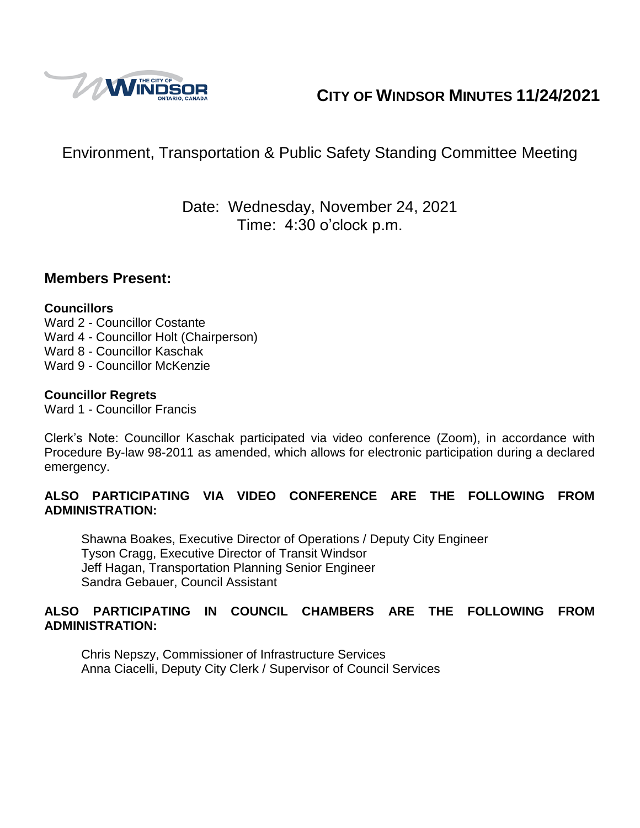

# **CITY OF WINDSOR MINUTES 11/24/2021**

# Environment, Transportation & Public Safety Standing Committee Meeting

# Date: Wednesday, November 24, 2021 Time: 4:30 o'clock p.m.

### **Members Present:**

### **Councillors**

Ward 2 - Councillor Costante Ward 4 - Councillor Holt (Chairperson) Ward 8 - Councillor Kaschak Ward 9 - Councillor McKenzie

### **Councillor Regrets**

Ward 1 - Councillor Francis

Clerk's Note: Councillor Kaschak participated via video conference (Zoom), in accordance with Procedure By-law 98-2011 as amended, which allows for electronic participation during a declared emergency.

### **ALSO PARTICIPATING VIA VIDEO CONFERENCE ARE THE FOLLOWING FROM ADMINISTRATION:**

Shawna Boakes, Executive Director of Operations / Deputy City Engineer Tyson Cragg, Executive Director of Transit Windsor Jeff Hagan, Transportation Planning Senior Engineer Sandra Gebauer, Council Assistant

### **ALSO PARTICIPATING IN COUNCIL CHAMBERS ARE THE FOLLOWING FROM ADMINISTRATION:**

Chris Nepszy, Commissioner of Infrastructure Services Anna Ciacelli, Deputy City Clerk / Supervisor of Council Services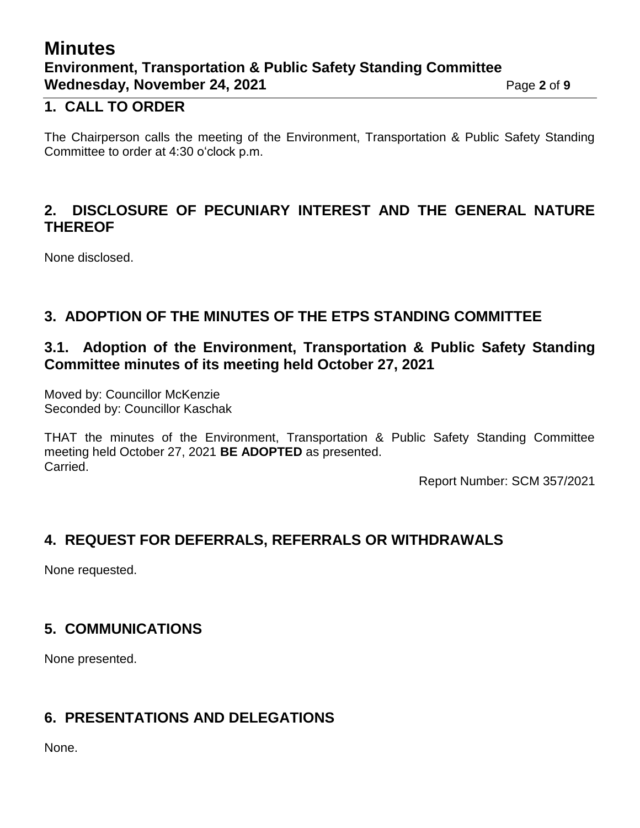# **Minutes Environment, Transportation & Public Safety Standing Committee Wednesday, November 24, 2021** Page 2 of 9

## **1. CALL TO ORDER**

The Chairperson calls the meeting of the Environment, Transportation & Public Safety Standing Committee to order at 4:30 o'clock p.m.

## **2. DISCLOSURE OF PECUNIARY INTEREST AND THE GENERAL NATURE THEREOF**

None disclosed.

# **3. ADOPTION OF THE MINUTES OF THE ETPS STANDING COMMITTEE**

## **3.1. Adoption of the Environment, Transportation & Public Safety Standing Committee minutes of its meeting held October 27, 2021**

Moved by: Councillor McKenzie Seconded by: Councillor Kaschak

THAT the minutes of the Environment, Transportation & Public Safety Standing Committee meeting held October 27, 2021 **BE ADOPTED** as presented. Carried.

Report Number: SCM 357/2021

# **4. REQUEST FOR DEFERRALS, REFERRALS OR WITHDRAWALS**

None requested.

# **5. COMMUNICATIONS**

None presented.

## **6. PRESENTATIONS AND DELEGATIONS**

None.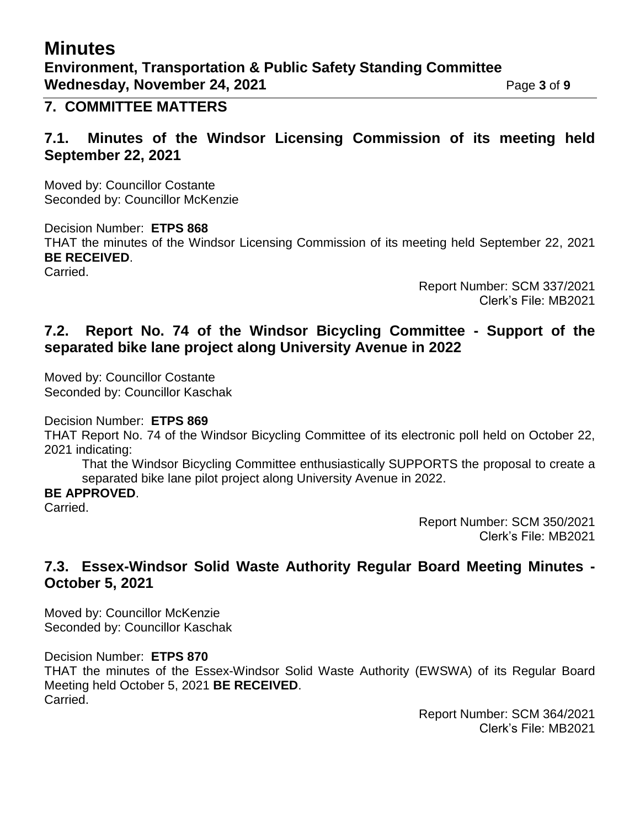# **Minutes Environment, Transportation & Public Safety Standing Committee Wednesday, November 24, 2021** Page 3 of 9

### **7. COMMITTEE MATTERS**

## **7.1. Minutes of the Windsor Licensing Commission of its meeting held September 22, 2021**

Moved by: Councillor Costante Seconded by: Councillor McKenzie

Decision Number: **ETPS 868** THAT the minutes of the Windsor Licensing Commission of its meeting held September 22, 2021 **BE RECEIVED**. Carried.

> Report Number: SCM 337/2021 Clerk's File: MB2021

## **7.2. Report No. 74 of the Windsor Bicycling Committee - Support of the separated bike lane project along University Avenue in 2022**

Moved by: Councillor Costante Seconded by: Councillor Kaschak

Decision Number: **ETPS 869**

THAT Report No. 74 of the Windsor Bicycling Committee of its electronic poll held on October 22, 2021 indicating:

That the Windsor Bicycling Committee enthusiastically SUPPORTS the proposal to create a separated bike lane pilot project along University Avenue in 2022.

### **BE APPROVED**.

Carried.

Report Number: SCM 350/2021 Clerk's File: MB2021

## **7.3. Essex-Windsor Solid Waste Authority Regular Board Meeting Minutes - October 5, 2021**

Moved by: Councillor McKenzie Seconded by: Councillor Kaschak

### Decision Number: **ETPS 870**

THAT the minutes of the Essex-Windsor Solid Waste Authority (EWSWA) of its Regular Board Meeting held October 5, 2021 **BE RECEIVED**. Carried.

> Report Number: SCM 364/2021 Clerk's File: MB2021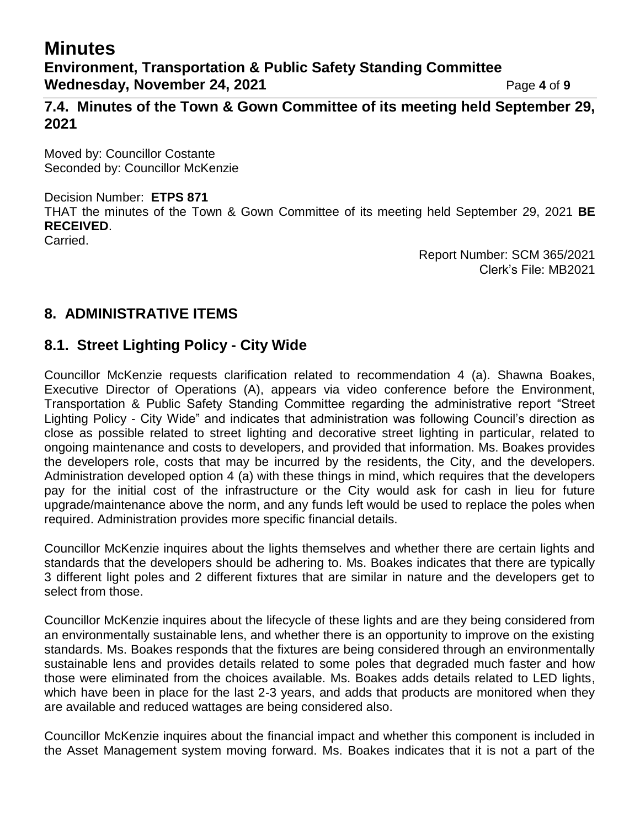# **Minutes**

**7.4. Minutes of the Town & Gown Committee of its meeting held September 29, 2021**

Moved by: Councillor Costante Seconded by: Councillor McKenzie

### Decision Number: **ETPS 871**

THAT the minutes of the Town & Gown Committee of its meeting held September 29, 2021 **BE RECEIVED**.

Carried.

Report Number: SCM 365/2021 Clerk's File: MB2021

# **8. ADMINISTRATIVE ITEMS**

## **8.1. Street Lighting Policy - City Wide**

Councillor McKenzie requests clarification related to recommendation 4 (a). Shawna Boakes, Executive Director of Operations (A), appears via video conference before the Environment, Transportation & Public Safety Standing Committee regarding the administrative report "Street Lighting Policy - City Wide" and indicates that administration was following Council's direction as close as possible related to street lighting and decorative street lighting in particular, related to ongoing maintenance and costs to developers, and provided that information. Ms. Boakes provides the developers role, costs that may be incurred by the residents, the City, and the developers. Administration developed option 4 (a) with these things in mind, which requires that the developers pay for the initial cost of the infrastructure or the City would ask for cash in lieu for future upgrade/maintenance above the norm, and any funds left would be used to replace the poles when required. Administration provides more specific financial details.

Councillor McKenzie inquires about the lights themselves and whether there are certain lights and standards that the developers should be adhering to. Ms. Boakes indicates that there are typically 3 different light poles and 2 different fixtures that are similar in nature and the developers get to select from those.

Councillor McKenzie inquires about the lifecycle of these lights and are they being considered from an environmentally sustainable lens, and whether there is an opportunity to improve on the existing standards. Ms. Boakes responds that the fixtures are being considered through an environmentally sustainable lens and provides details related to some poles that degraded much faster and how those were eliminated from the choices available. Ms. Boakes adds details related to LED lights, which have been in place for the last 2-3 years, and adds that products are monitored when they are available and reduced wattages are being considered also.

Councillor McKenzie inquires about the financial impact and whether this component is included in the Asset Management system moving forward. Ms. Boakes indicates that it is not a part of the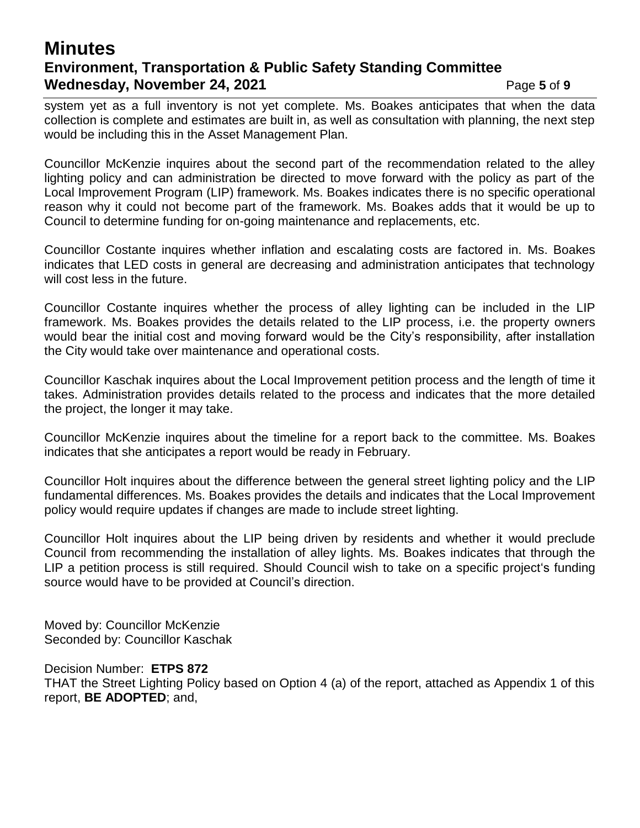# **Minutes Environment, Transportation & Public Safety Standing Committee Wednesday, November 24, 2021** Page 5 of 9

system yet as a full inventory is not yet complete. Ms. Boakes anticipates that when the data collection is complete and estimates are built in, as well as consultation with planning, the next step would be including this in the Asset Management Plan.

Councillor McKenzie inquires about the second part of the recommendation related to the alley lighting policy and can administration be directed to move forward with the policy as part of the Local Improvement Program (LIP) framework. Ms. Boakes indicates there is no specific operational reason why it could not become part of the framework. Ms. Boakes adds that it would be up to Council to determine funding for on-going maintenance and replacements, etc.

Councillor Costante inquires whether inflation and escalating costs are factored in. Ms. Boakes indicates that LED costs in general are decreasing and administration anticipates that technology will cost less in the future.

Councillor Costante inquires whether the process of alley lighting can be included in the LIP framework. Ms. Boakes provides the details related to the LIP process, i.e. the property owners would bear the initial cost and moving forward would be the City's responsibility, after installation the City would take over maintenance and operational costs.

Councillor Kaschak inquires about the Local Improvement petition process and the length of time it takes. Administration provides details related to the process and indicates that the more detailed the project, the longer it may take.

Councillor McKenzie inquires about the timeline for a report back to the committee. Ms. Boakes indicates that she anticipates a report would be ready in February.

Councillor Holt inquires about the difference between the general street lighting policy and the LIP fundamental differences. Ms. Boakes provides the details and indicates that the Local Improvement policy would require updates if changes are made to include street lighting.

Councillor Holt inquires about the LIP being driven by residents and whether it would preclude Council from recommending the installation of alley lights. Ms. Boakes indicates that through the LIP a petition process is still required. Should Council wish to take on a specific project's funding source would have to be provided at Council's direction.

Moved by: Councillor McKenzie Seconded by: Councillor Kaschak

Decision Number: **ETPS 872**

THAT the Street Lighting Policy based on Option 4 (a) of the report, attached as Appendix 1 of this report, **BE ADOPTED**; and,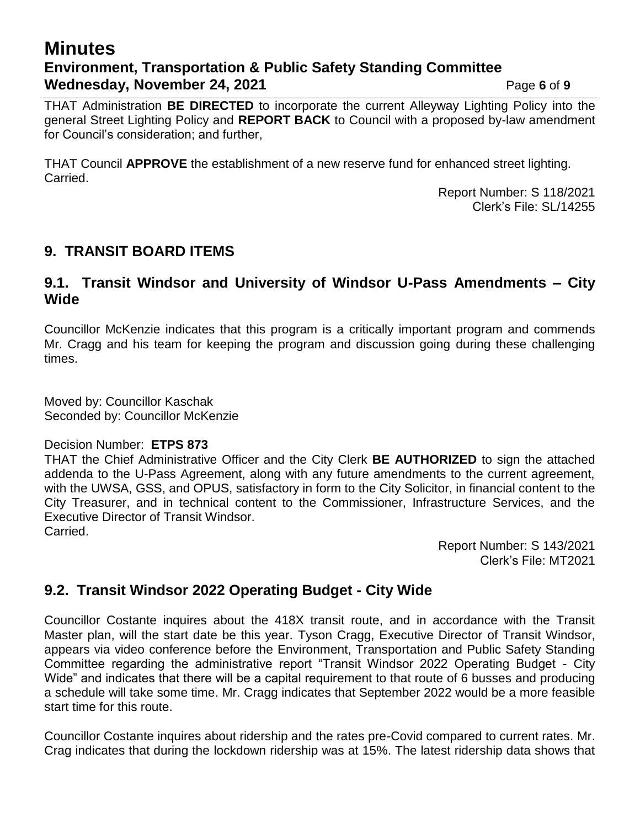# **Minutes Environment, Transportation & Public Safety Standing Committee Wednesday, November 24, 2021 Page 6** of 9

THAT Administration **BE DIRECTED** to incorporate the current Alleyway Lighting Policy into the general Street Lighting Policy and **REPORT BACK** to Council with a proposed by-law amendment for Council's consideration; and further,

THAT Council **APPROVE** the establishment of a new reserve fund for enhanced street lighting. Carried.

> Report Number: S 118/2021 Clerk's File: SL/14255

# **9. TRANSIT BOARD ITEMS**

### **9.1. Transit Windsor and University of Windsor U-Pass Amendments – City Wide**

Councillor McKenzie indicates that this program is a critically important program and commends Mr. Cragg and his team for keeping the program and discussion going during these challenging times.

Moved by: Councillor Kaschak Seconded by: Councillor McKenzie

### Decision Number: **ETPS 873**

THAT the Chief Administrative Officer and the City Clerk **BE AUTHORIZED** to sign the attached addenda to the U-Pass Agreement, along with any future amendments to the current agreement, with the UWSA, GSS, and OPUS, satisfactory in form to the City Solicitor, in financial content to the City Treasurer, and in technical content to the Commissioner, Infrastructure Services, and the Executive Director of Transit Windsor. Carried.

> Report Number: S 143/2021 Clerk's File: MT2021

## **9.2. Transit Windsor 2022 Operating Budget - City Wide**

Councillor Costante inquires about the 418X transit route, and in accordance with the Transit Master plan, will the start date be this year. Tyson Cragg, Executive Director of Transit Windsor, appears via video conference before the Environment, Transportation and Public Safety Standing Committee regarding the administrative report "Transit Windsor 2022 Operating Budget - City Wide" and indicates that there will be a capital requirement to that route of 6 busses and producing a schedule will take some time. Mr. Cragg indicates that September 2022 would be a more feasible start time for this route.

Councillor Costante inquires about ridership and the rates pre-Covid compared to current rates. Mr. Crag indicates that during the lockdown ridership was at 15%. The latest ridership data shows that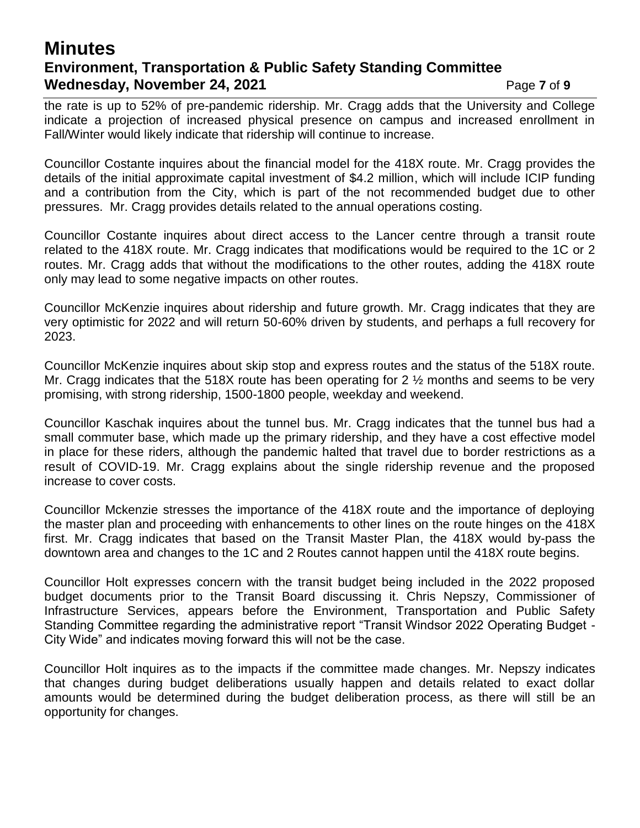# **Minutes Environment, Transportation & Public Safety Standing Committee Wednesday, November 24, 2021** Page 7 of 9

the rate is up to 52% of pre-pandemic ridership. Mr. Cragg adds that the University and College indicate a projection of increased physical presence on campus and increased enrollment in Fall/Winter would likely indicate that ridership will continue to increase.

Councillor Costante inquires about the financial model for the 418X route. Mr. Cragg provides the details of the initial approximate capital investment of \$4.2 million, which will include ICIP funding and a contribution from the City, which is part of the not recommended budget due to other pressures. Mr. Cragg provides details related to the annual operations costing.

Councillor Costante inquires about direct access to the Lancer centre through a transit route related to the 418X route. Mr. Cragg indicates that modifications would be required to the 1C or 2 routes. Mr. Cragg adds that without the modifications to the other routes, adding the 418X route only may lead to some negative impacts on other routes.

Councillor McKenzie inquires about ridership and future growth. Mr. Cragg indicates that they are very optimistic for 2022 and will return 50-60% driven by students, and perhaps a full recovery for 2023.

Councillor McKenzie inquires about skip stop and express routes and the status of the 518X route. Mr. Cragg indicates that the 518X route has been operating for 2  $\frac{1}{2}$  months and seems to be very promising, with strong ridership, 1500-1800 people, weekday and weekend.

Councillor Kaschak inquires about the tunnel bus. Mr. Cragg indicates that the tunnel bus had a small commuter base, which made up the primary ridership, and they have a cost effective model in place for these riders, although the pandemic halted that travel due to border restrictions as a result of COVID-19. Mr. Cragg explains about the single ridership revenue and the proposed increase to cover costs.

Councillor Mckenzie stresses the importance of the 418X route and the importance of deploying the master plan and proceeding with enhancements to other lines on the route hinges on the 418X first. Mr. Cragg indicates that based on the Transit Master Plan, the 418X would by-pass the downtown area and changes to the 1C and 2 Routes cannot happen until the 418X route begins.

Councillor Holt expresses concern with the transit budget being included in the 2022 proposed budget documents prior to the Transit Board discussing it. Chris Nepszy, Commissioner of Infrastructure Services, appears before the Environment, Transportation and Public Safety Standing Committee regarding the administrative report "Transit Windsor 2022 Operating Budget - City Wide" and indicates moving forward this will not be the case.

Councillor Holt inquires as to the impacts if the committee made changes. Mr. Nepszy indicates that changes during budget deliberations usually happen and details related to exact dollar amounts would be determined during the budget deliberation process, as there will still be an opportunity for changes.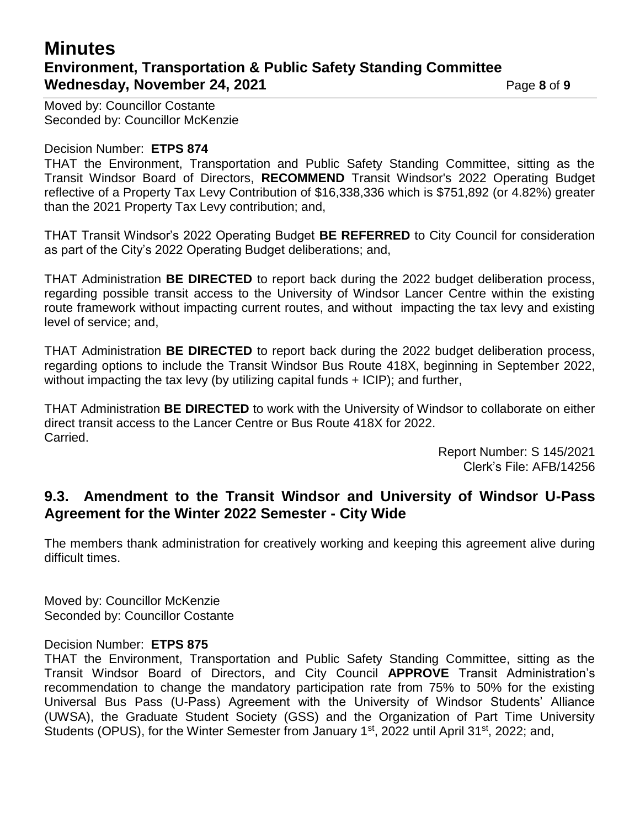# **Minutes Environment, Transportation & Public Safety Standing Committee Wednesday, November 24, 2021 Page 8** of 9

Moved by: Councillor Costante Seconded by: Councillor McKenzie

#### Decision Number: **ETPS 874**

THAT the Environment, Transportation and Public Safety Standing Committee, sitting as the Transit Windsor Board of Directors, **RECOMMEND** Transit Windsor's 2022 Operating Budget reflective of a Property Tax Levy Contribution of \$16,338,336 which is \$751,892 (or 4.82%) greater than the 2021 Property Tax Levy contribution; and,

THAT Transit Windsor's 2022 Operating Budget **BE REFERRED** to City Council for consideration as part of the City's 2022 Operating Budget deliberations; and,

THAT Administration **BE DIRECTED** to report back during the 2022 budget deliberation process, regarding possible transit access to the University of Windsor Lancer Centre within the existing route framework without impacting current routes, and without impacting the tax levy and existing level of service; and,

THAT Administration **BE DIRECTED** to report back during the 2022 budget deliberation process, regarding options to include the Transit Windsor Bus Route 418X, beginning in September 2022, without impacting the tax levy (by utilizing capital funds + ICIP); and further,

THAT Administration **BE DIRECTED** to work with the University of Windsor to collaborate on either direct transit access to the Lancer Centre or Bus Route 418X for 2022. Carried.

> Report Number: S 145/2021 Clerk's File: AFB/14256

### **9.3. Amendment to the Transit Windsor and University of Windsor U-Pass Agreement for the Winter 2022 Semester - City Wide**

The members thank administration for creatively working and keeping this agreement alive during difficult times.

Moved by: Councillor McKenzie Seconded by: Councillor Costante

### Decision Number: **ETPS 875**

THAT the Environment, Transportation and Public Safety Standing Committee, sitting as the Transit Windsor Board of Directors, and City Council **APPROVE** Transit Administration's recommendation to change the mandatory participation rate from 75% to 50% for the existing Universal Bus Pass (U-Pass) Agreement with the University of Windsor Students' Alliance (UWSA), the Graduate Student Society (GSS) and the Organization of Part Time University Students (OPUS), for the Winter Semester from January 1<sup>st</sup>, 2022 until April 31<sup>st</sup>, 2022; and,